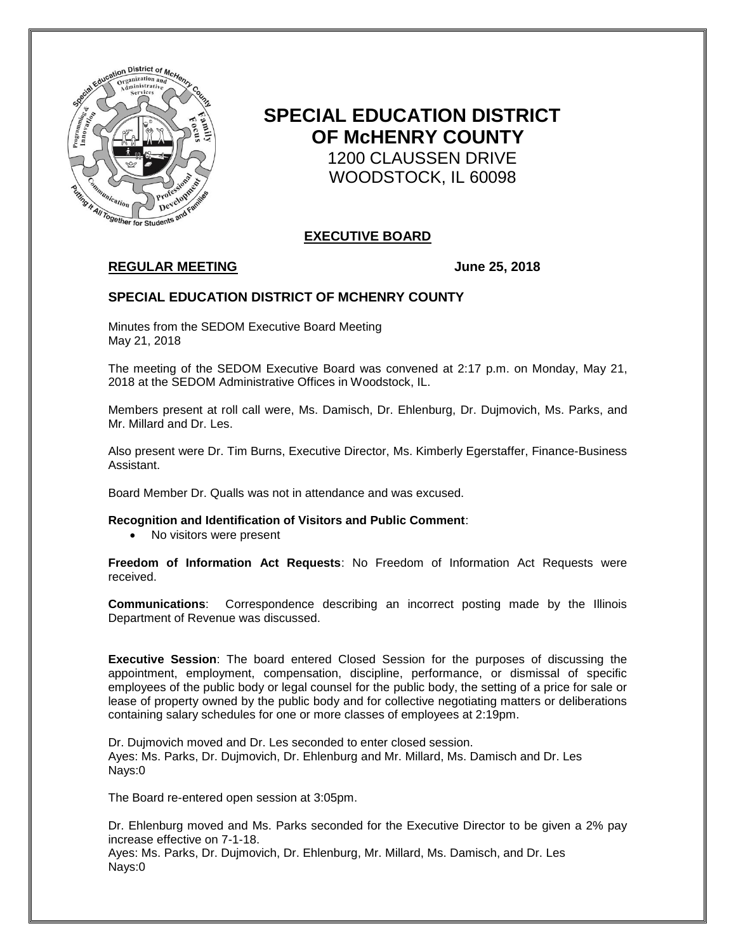

# **SPECIAL EDUCATION DISTRICT OF McHENRY COUNTY** 1200 CLAUSSEN DRIVE WOODSTOCK, IL 60098

# **EXECUTIVE BOARD**

# **REGULAR MEETING June 25, 2018**

# **SPECIAL EDUCATION DISTRICT OF MCHENRY COUNTY**

Minutes from the SEDOM Executive Board Meeting May 21, 2018

The meeting of the SEDOM Executive Board was convened at 2:17 p.m. on Monday, May 21, 2018 at the SEDOM Administrative Offices in Woodstock, IL.

Members present at roll call were, Ms. Damisch, Dr. Ehlenburg, Dr. Dujmovich, Ms. Parks, and Mr. Millard and Dr. Les.

Also present were Dr. Tim Burns, Executive Director, Ms. Kimberly Egerstaffer, Finance-Business Assistant.

Board Member Dr. Qualls was not in attendance and was excused.

**Recognition and Identification of Visitors and Public Comment**:

• No visitors were present

**Freedom of Information Act Requests**: No Freedom of Information Act Requests were received.

**Communications**: Correspondence describing an incorrect posting made by the Illinois Department of Revenue was discussed.

**Executive Session**: The board entered Closed Session for the purposes of discussing the appointment, employment, compensation, discipline, performance, or dismissal of specific employees of the public body or legal counsel for the public body, the setting of a price for sale or lease of property owned by the public body and for collective negotiating matters or deliberations containing salary schedules for one or more classes of employees at 2:19pm.

Dr. Dujmovich moved and Dr. Les seconded to enter closed session. Ayes: Ms. Parks, Dr. Dujmovich, Dr. Ehlenburg and Mr. Millard, Ms. Damisch and Dr. Les Nays:0

The Board re-entered open session at 3:05pm.

Dr. Ehlenburg moved and Ms. Parks seconded for the Executive Director to be given a 2% pay increase effective on 7-1-18.

Ayes: Ms. Parks, Dr. Dujmovich, Dr. Ehlenburg, Mr. Millard, Ms. Damisch, and Dr. Les Nays:0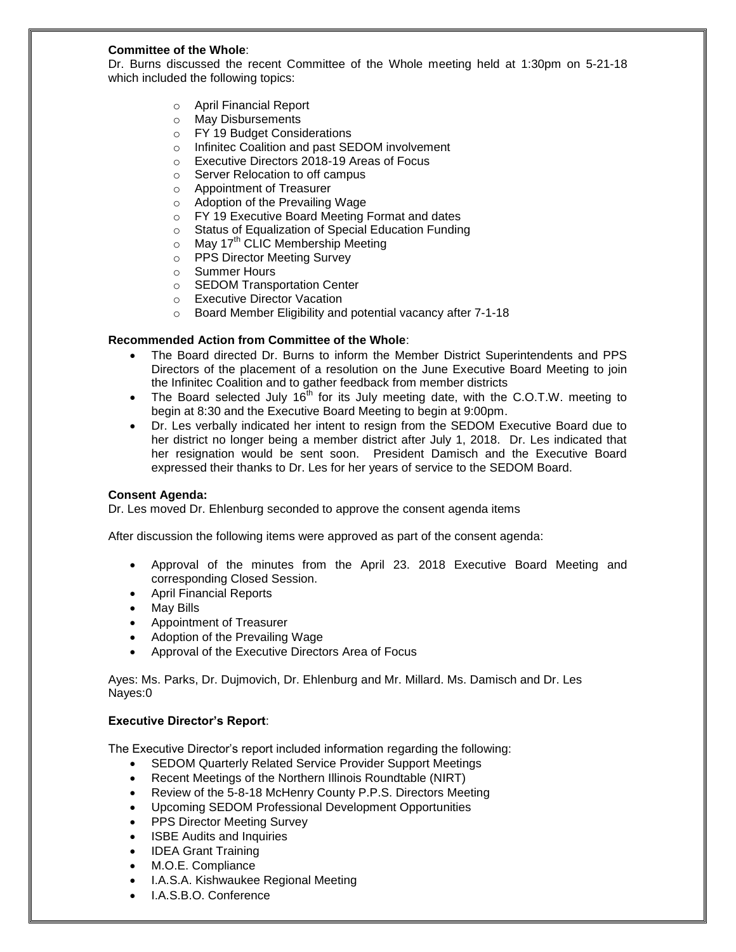### **Committee of the Whole**:

Dr. Burns discussed the recent Committee of the Whole meeting held at 1:30pm on 5-21-18 which included the following topics:

- o April Financial Report
- o May Disbursements
- o FY 19 Budget Considerations
- o Infinitec Coalition and past SEDOM involvement
- o Executive Directors 2018-19 Areas of Focus
- o Server Relocation to off campus
- o Appointment of Treasurer
- o Adoption of the Prevailing Wage
- o FY 19 Executive Board Meeting Format and dates
- o Status of Equalization of Special Education Funding
- $\circ$  May 17<sup>th</sup> CLIC Membership Meeting
- o PPS Director Meeting Survey
- o Summer Hours
- o SEDOM Transportation Center
- o Executive Director Vacation
- o Board Member Eligibility and potential vacancy after 7-1-18

## **Recommended Action from Committee of the Whole**:

- The Board directed Dr. Burns to inform the Member District Superintendents and PPS Directors of the placement of a resolution on the June Executive Board Meeting to join the Infinitec Coalition and to gather feedback from member districts
- The Board selected July  $16<sup>th</sup>$  for its July meeting date, with the C.O.T.W. meeting to begin at 8:30 and the Executive Board Meeting to begin at 9:00pm.
- Dr. Les verbally indicated her intent to resign from the SEDOM Executive Board due to her district no longer being a member district after July 1, 2018. Dr. Les indicated that her resignation would be sent soon. President Damisch and the Executive Board expressed their thanks to Dr. Les for her years of service to the SEDOM Board.

#### **Consent Agenda:**

Dr. Les moved Dr. Ehlenburg seconded to approve the consent agenda items

After discussion the following items were approved as part of the consent agenda:

- Approval of the minutes from the April 23. 2018 Executive Board Meeting and corresponding Closed Session.
- April Financial Reports
- May Bills
- Appointment of Treasurer
- Adoption of the Prevailing Wage
- Approval of the Executive Directors Area of Focus

Ayes: Ms. Parks, Dr. Dujmovich, Dr. Ehlenburg and Mr. Millard. Ms. Damisch and Dr. Les Nayes:0

#### **Executive Director's Report**:

The Executive Director's report included information regarding the following:

- SEDOM Quarterly Related Service Provider Support Meetings
- Recent Meetings of the Northern Illinois Roundtable (NIRT)
- Review of the 5-8-18 McHenry County P.P.S. Directors Meeting
- Upcoming SEDOM Professional Development Opportunities
- PPS Director Meeting Survey
- ISBE Audits and Inquiries
- IDEA Grant Training
- M.O.E. Compliance
- I.A.S.A. Kishwaukee Regional Meeting
- I.A.S.B.O. Conference